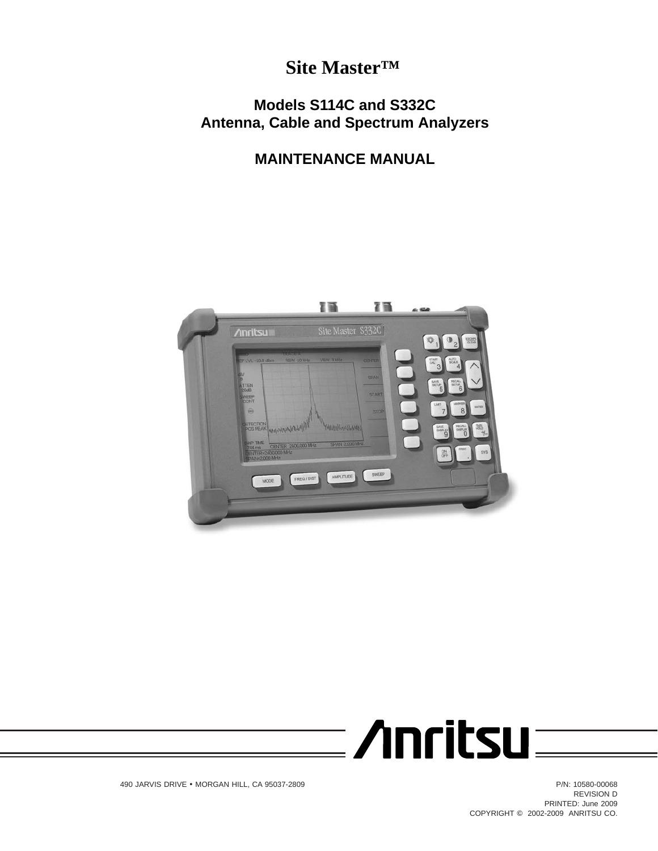# **Site Master™**

# **Models S114C and S332C Antenna, Cable and Spectrum Analyzers**

# **MAINTENANCE MANUAL**





490 JARVIS DRIVE - MORGAN HILL, CA 95037-2809 P/N: 10580-00068

REVISION D PRINTED: June 2009 COPYRIGHT 2002-2009 ANRITSU CO.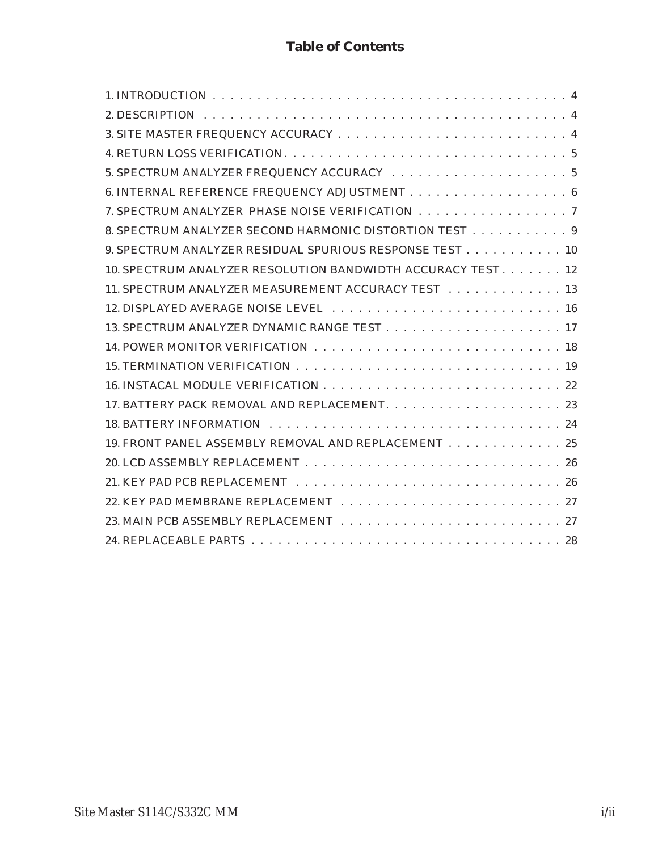# **Table of Contents**

| 7. SPECTRUM ANALYZER PHASE NOISE VERIFICATION 7              |
|--------------------------------------------------------------|
| 8. SPECTRUM ANALYZER SECOND HARMONIC DISTORTION TEST 9       |
| 9. SPECTRUM ANALYZER RESIDUAL SPURIOUS RESPONSE TEST 10      |
| 10. SPECTRUM ANALYZER RESOLUTION BANDWIDTH ACCURACY TEST. 12 |
| 11. SPECTRUM ANALYZER MEASUREMENT ACCURACY TEST 13           |
|                                                              |
|                                                              |
|                                                              |
|                                                              |
|                                                              |
|                                                              |
|                                                              |
| 19. FRONT PANEL ASSEMBLY REMOVAL AND REPLACEMENT 25          |
|                                                              |
|                                                              |
|                                                              |
|                                                              |
|                                                              |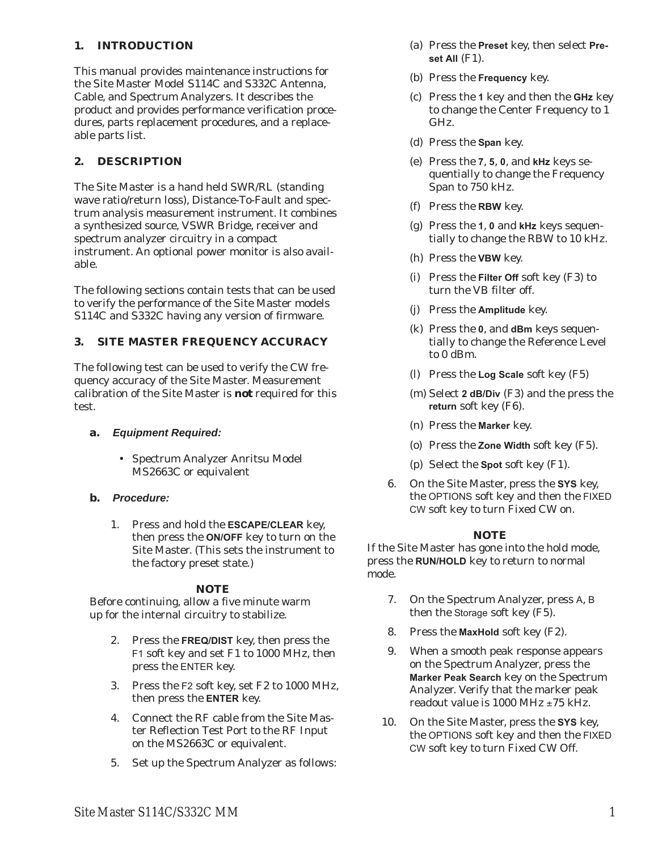# <span id="page-4-0"></span>**1. INTRODUCTION**

This manual provides maintenance instructions for the Site Master Model S114C and S332C Antenna, Cable, and Spectrum Analyzers. It describes the product and provides performance verification procedures, parts replacement procedures, and a replaceable parts list.

## **2. DESCRIPTION**

The Site Master is a hand held SWR/RL (standing wave ratio/return loss), Distance-To-Fault and spectrum analysis measurement instrument. It combines a synthesized source, VSWR Bridge, receiver and spectrum analyzer circuitry in a compact instrument. An optional power monitor is also available.

The following sections contain tests that can be used to verify the performance of the Site Master models S114C and S332C having any version of firmware.

# **3. SITE MASTER FREQUENCY ACCURACY**

The following test can be used to verify the CW frequency accuracy of the Site Master. Measurement calibration of the Site Master is *not* required for this test.

## **a.** *Equipment Required:*

- Spectrum Analyzer Anritsu Model MS2663C or equivalent
- **b.** *Procedure:*
	- 1. Press and hold the **ESCAPE/CLEAR** key, then press the **ON/OFF** key to turn on the Site Master. (This sets the instrument to the factory preset state.)

## *NOTE*

Before continuing, allow a five minute warm up for the internal circuitry to stabilize.

- 2. Press the **FREQ/DIST** key, then press the F1 soft key and set F1 to 1000 MHz, then press the ENTER key.
- 3. Press the F2 soft key, set F2 to 1000 MHz, then press the **ENTER** key.
- 4. Connect the RF cable from the Site Master Reflection Test Port to the RF Input on the MS2663C or equivalent.
- 5. Set up the Spectrum Analyzer as follows:
- (a) Press the **Preset** key, then select **Preset All** (F1).
- (b) Press the **Frequency** key.
- (c) Press the **1** key and then the **GHz** key to change the Center Frequency to 1 GHz.
- (d) Press the **Span** key.
- (e) Press the **7**, **5**, **0**, and **kHz** keys sequentially to change the Frequency Span to 750 kHz.
- (f) Press the **RBW** key.
- (g) Press the **1**, **0** and **kHz** keys sequentially to change the RBW to 10 kHz.
- (h) Press the **VBW** key.
- (i) Press the **Filter Off** soft key (F3) to turn the VB filter off.
- (j) Press the **Amplitude** key.
- (k) Press the **0**, and **dBm** keys sequentially to change the Reference Level to 0 dBm.
- (l) Press the **Log Scale** soft key (F5)
- (m) Select **2 dB/Div** (F3) and the press the **return** soft key (F6).
- (n) Press the **Marker** key.
- (o) Press the **Zone Width** soft key (F5).
- (p) Select the **Spot** soft key (F1).
- 6. On the Site Master, press the **SYS** key, the OPTIONS soft key and then the FIXED CW soft key to turn Fixed CW on.

## *NOTE*

If the Site Master has gone into the hold mode, press the **RUN/HOLD** key to return to normal mode.

- 7. On the Spectrum Analyzer, press A, B then the Storage soft key (F5).
- 8. Press the **MaxHold** soft key (F2).
- 9. When a smooth peak response appears on the Spectrum Analyzer, press the **Marker Peak Search** key on the Spectrum Analyzer. Verify that the marker peak readout value is 1000 MHz  $\pm$ 75 kHz.
- 10. On the Site Master, press the **SYS** key, the OPTIONS soft key and then the FIXED CW soft key to turn Fixed CW Off.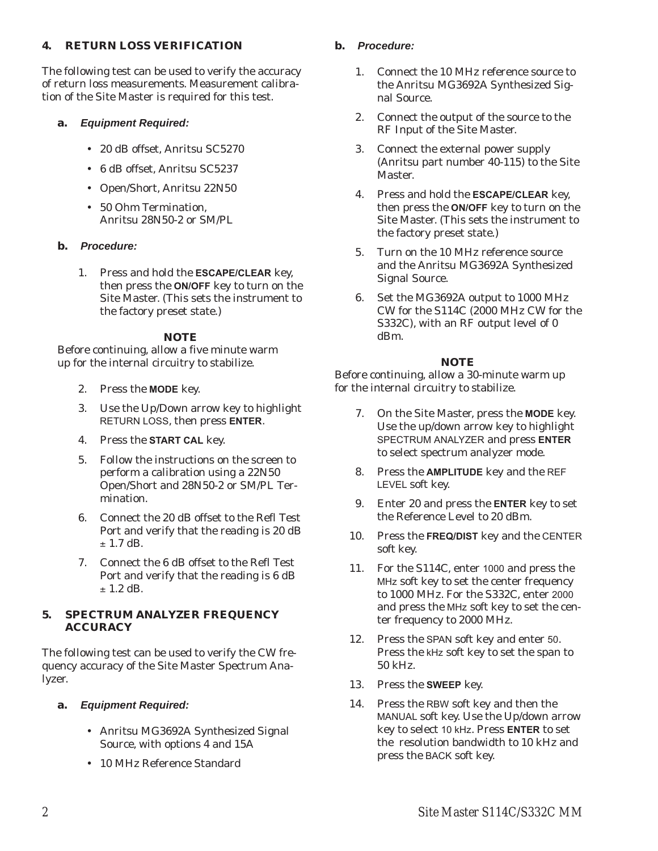## <span id="page-5-0"></span>**4. RETURN LOSS VERIFICATION**

The following test can be used to verify the accuracy of return loss measurements. Measurement calibration of the Site Master is required for this test.

## **a.** *Equipment Required:*

- 20 dB offset, Anritsu SC5270
- 6 dB offset, Anritsu SC5237
- Open/Short, Anritsu 22N50
- 50 Ohm Termination, Anritsu 28N50-2 or SM/PL

## **b.** *Procedure:*

1. Press and hold the **ESCAPE/CLEAR** key, then press the **ON/OFF** key to turn on the Site Master. (This sets the instrument to the factory preset state.)

#### *NOTE*

Before continuing, allow a five minute warm up for the internal circuitry to stabilize.

- 2. Press the **MODE** key.
- 3. Use the Up/Down arrow key to highlight RETURN LOSS, then press **ENTER**.
- 4. Press the **START CAL** key.
- 5. Follow the instructions on the screen to perform a calibration using a 22N50 Open/Short and 28N50-2 or SM/PL Termination.
- 6. Connect the 20 dB offset to the Refl Test Port and verify that the reading is 20 dB  $\pm$  1.7 dB.
- 7. Connect the 6 dB offset to the Refl Test Port and verify that the reading is 6 dB  $\pm$  1.2 dB.

#### **5. SPECTRUM ANALYZER FREQUENCY ACCURACY**

The following test can be used to verify the CW frequency accuracy of the Site Master Spectrum Analyzer.

## **a.** *Equipment Required:*

- Anritsu MG3692A Synthesized Signal Source, with options 4 and 15A
- 10 MHz Reference Standard

# **b.** *Procedure:*

- 1. Connect the 10 MHz reference source to the Anritsu MG3692A Synthesized Signal Source.
- 2. Connect the output of the source to the RF Input of the Site Master.
- 3. Connect the external power supply (Anritsu part number 40-115) to the Site Master.
- 4. Press and hold the **ESCAPE/CLEAR** key, then press the **ON/OFF** key to turn on the Site Master. (This sets the instrument to the factory preset state.)
- 5. Turn on the 10 MHz reference source and the Anritsu MG3692A Synthesized Signal Source.
- 6. Set the MG3692A output to 1000 MHz CW for the S114C (2000 MHz CW for the S332C), with an RF output level of 0 dBm.

## *NOTE*

- 7. On the Site Master, press the **MODE** key. Use the up/down arrow key to highlight SPECTRUM ANALYZER and press **ENTER** to select spectrum analyzer mode.
- 8. Press the **AMPLITUDE** key and the REF LEVEL soft key.
- 9. Enter 20 and press the **ENTER** key to set the Reference Level to 20 dBm.
- 10. Press the **FREQ/DIST** key and the CENTER soft key.
- 11. For the S114C, enter <sup>1000</sup> and press the MHz soft key to set the center frequency to 1000 MHz. For the S332C, enter 2000 and press the MHz soft key to set the center frequency to 2000 MHz.
- 12. Press the SPAN soft key and enter <sup>50</sup>. Press the kHz soft key to set the span to 50 kHz.
- 13. Press the **SWEEP** key.
- 14. Press the RBW soft key and then the MANUAL soft key. Use the Up/down arrow key to select 10 kHz. Press **ENTER** to set the resolution bandwidth to 10 kHz and press the BACK soft key.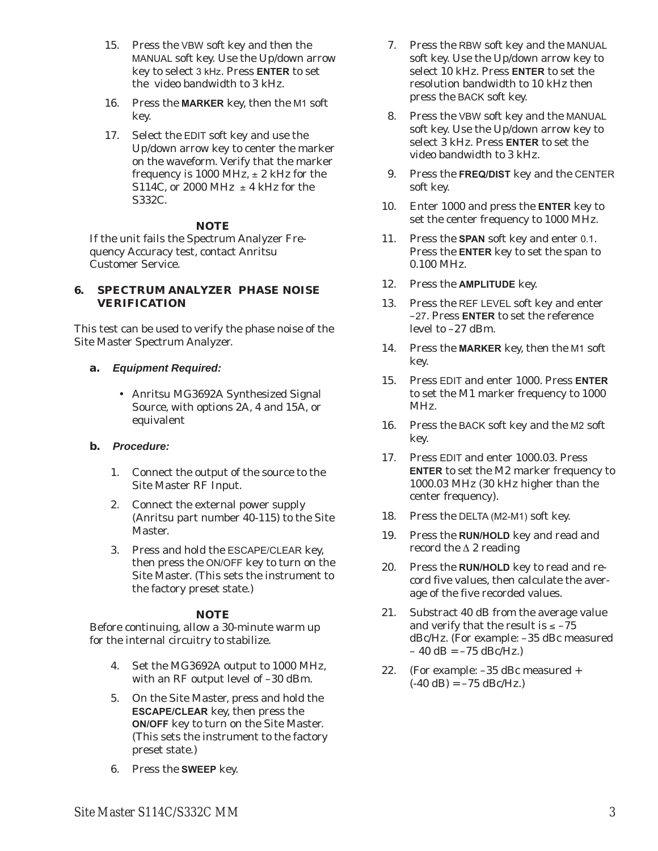- <span id="page-6-0"></span>15. Press the VBW soft key and then the MANUAL soft key. Use the Up/down arrow key to select 3 kHz. Press **ENTER** to set the video bandwidth to 3 kHz.
- 16. Press the **MARKER** key, then the M1 soft key.
- 17. Select the EDIT soft key and use the Up/down arrow key to center the marker on the waveform. Verify that the marker frequency is 1000 MHz,  $\pm$  2 kHz for the S114C, or 2000 MHz  $\pm$  4 kHz for the S332C.

If the unit fails the Spectrum Analyzer Frequency Accuracy test, contact Anritsu Customer Service.

#### **6. SPECTRUM ANALYZER PHASE NOISE VERIFICATION**

This test can be used to verify the phase noise of the Site Master Spectrum Analyzer.

#### **a.** *Equipment Required:*

- Anritsu MG3692A Synthesized Signal Source, with options 2A, 4 and 15A, or equivalent

#### **b.** *Procedure:*

- 1. Connect the output of the source to the Site Master RF Input.
- 2. Connect the external power supply (Anritsu part number 40-115) to the Site Master.
- 3. Press and hold the ESCAPE/CLEAR key, then press the ON/OFF key to turn on the Site Master. (This sets the instrument to the factory preset state.)

## *NOTE*

- 4. Set the MG3692A output to 1000 MHz, with an RF output level of –30 dBm.
- 5. On the Site Master, press and hold the **ESCAPE/CLEAR** key, then press the **ON/OFF** key to turn on the Site Master. (This sets the instrument to the factory preset state.)
- 6. Press the **SWEEP** key.
- 7. Press the RBW soft key and the MANUAL soft key. Use the Up/down arrow key to select 10 kHz. Press **ENTER** to set the resolution bandwidth to 10 kHz then press the BACK soft key.
- 8. Press the VBW soft key and the MANUAL soft key. Use the Up/down arrow key to select 3 kHz. Press **ENTER** to set the video bandwidth to 3 kHz.
- 9. Press the **FREQ/DIST** key and the CENTER soft key.
- 10. Enter 1000 and press the **ENTER** key to set the center frequency to 1000 MHz.
- 11. Press the **SPAN** soft key and enter 0.1. Press the **ENTER** key to set the span to 0.100 MHz.
- 12. Press the **AMPLITUDE** key.
- 13. Press the REF LEVEL soft key and enter –27. Press **ENTER** to set the reference level to –27 dBm.
- 14. Press the **MARKER** key, then the M1 soft key.
- 15. Press EDIT and enter 1000. Press **ENTER** to set the M1 marker frequency to 1000 MHz.
- 16. Press the BACK soft key and the M2 soft key.
- 17. Press EDIT and enter 1000.03. Press **ENTER** to set the M2 marker frequency to 1000.03 MHz (30 kHz higher than the center frequency).
- 18. Press the DELTA (M2-M1) soft key.
- 19. Press the **RUN/HOLD** key and read and record the  $\Delta$  2 reading
- 20. Press the **RUN/HOLD** key to read and record five values, then calculate the average of the five recorded values.
- 21. Substract 40 dB from the average value and verify that the result is  $\le -75$ dBc/Hz. (For example: –35 dBc measured  $-40$  dB =  $-75$  dBc/Hz.)
- 22. (For example: –35 dBc measured +  $(-40$  dB $) = -75$  dBc/Hz.)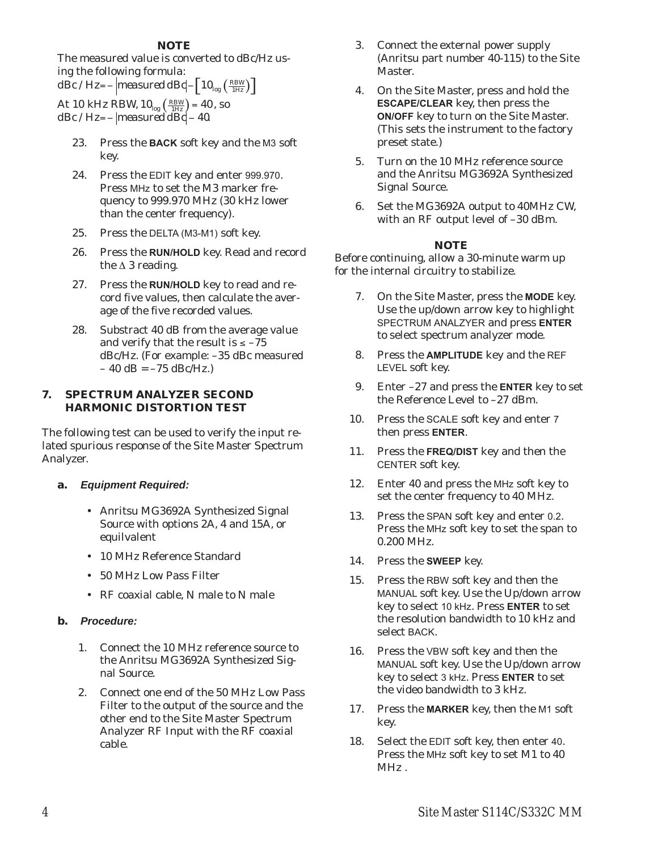The measured value is converted to dBc/Hz using the following formula:

 $d\overline{Bc}/Hz$  =  $\frac{1}{2}$  *measured dBc*  $\left[10_{\text{log}}\left(\frac{RBW}{1Hz}\right)\right]$ 

At 10 kHz RBW,  $10_{log} \left( \frac{RBW}{1Hz} \right) = 40$ , so  $dBc/Hz=-\parallel$ *measured dBc* $-40$ .

- 23. Press the **BACK** soft key and the M3 soft key.
- 24. Press the EDIT key and enter 999.970. Press MHz to set the M3 marker frequency to 999.970 MHz (30 kHz lower than the center frequency).
- 25. Press the DELTA (M3-M1) soft key.
- 26. Press the **RUN/HOLD** key. Read and record the  $\triangle$  3 reading.
- 27. Press the **RUN/HOLD** key to read and record five values, then calculate the average of the five recorded values.
- 28. Substract 40 dB from the average value and verify that the result is  $\le -75$ dBc/Hz. (For example: –35 dBc measured  $-40$  dB =  $-75$  dBc/Hz.)

#### **7. SPECTRUM ANALYZER SECOND HARMONIC DISTORTION TEST**

The following test can be used to verify the input related spurious response of the Site Master Spectrum Analyzer.

- **a.** *Equipment Required:*
	- Anritsu MG3692A Synthesized Signal Source with options 2A, 4 and 15A, or equilvalent
	- 10 MHz Reference Standard
	- 50 MHz Low Pass Filter
	- RF coaxial cable, N male to N male

## **b.** *Procedure:*

- 1. Connect the 10 MHz reference source to the Anritsu MG3692A Synthesized Signal Source.
- 2. Connect one end of the 50 MHz Low Pass Filter to the output of the source and the other end to the Site Master Spectrum Analyzer RF Input with the RF coaxial cable.
- 3. Connect the external power supply (Anritsu part number 40-115) to the Site Master.
- 4. On the Site Master, press and hold the **ESCAPE/CLEAR** key, then press the **ON/OFF** key to turn on the Site Master. (This sets the instrument to the factory preset state.)
- 5. Turn on the 10 MHz reference source and the Anritsu MG3692A Synthesized Signal Source.
- 6. Set the MG3692A output to 40MHz CW, with an RF output level of –30 dBm.

## *NOTE*

- 7. On the Site Master, press the **MODE** key. Use the up/down arrow key to highlight SPECTRUM ANALZYER and press **ENTER** to select spectrum analyzer mode.
- 8. Press the **AMPLITUDE** key and the REF LEVEL soft key.
- 9. Enter –27 and press the **ENTER** key to set the Reference Level to –27 dBm.
- 10. Press the SCALE soft key and enter <sup>7</sup> then press **ENTER**.
- 11. Press the **FREQ/DIST** key and then the CENTER soft key.
- 12. Enter 40 and press the MHz soft key to set the center frequency to 40 MHz.
- 13. Press the SPAN soft key and enter 0.2. Press the MHz soft key to set the span to 0.200 MHz.
- 14. Press the **SWEEP** key.
- 15. Press the RBW soft key and then the MANUAL soft key. Use the Up/down arrow key to select 10 kHz. Press **ENTER** to set the resolution bandwidth to 10 kHz and select BACK.
- 16. Press the VBW soft key and then the MANUAL soft key. Use the Up/down arrow key to select 3 kHz. Press **ENTER** to set the video bandwidth to 3 kHz.
- 17. Press the **MARKER** key, then the M1 soft key.
- 18. Select the EDIT soft key, then enter <sup>40</sup>. Press the MHz soft key to set M1 to 40 MHz .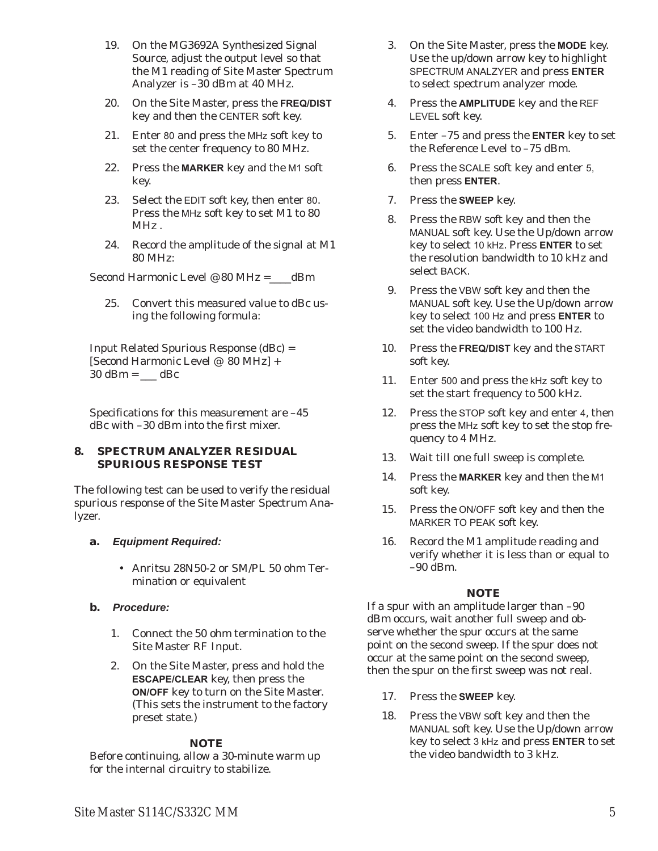- <span id="page-8-0"></span>19. On the MG3692A Synthesized Signal Source, adjust the output level so that the M1 reading of Site Master Spectrum Analyzer is –30 dBm at 40 MHz.
- 20. On the Site Master, press the **FREQ/DIST** key and then the CENTER soft key.
- 21. Enter <sup>80</sup> and press the MHz soft key to set the center frequency to 80 MHz.
- 22. Press the **MARKER** key and the M1 soft key.
- 23. Select the EDIT soft key, then enter <sup>80</sup>. Press the MHz soft key to set M1 to 80 MHz .
- 24. Record the amplitude of the signal at M1 80 MHz:

Second Harmonic Level @ 80 MHz =\_\_\_\_dBm

25. Convert this measured value to dBc using the following formula:

Input Related Spurious Response (dBc) = [Second Harmonic Level  $@$  80 MHz] +  $30$  dBm =  $\_\_\_\$ dBc

Specifications for this measurement are –45 dBc with –30 dBm into the first mixer.

## **8. SPECTRUM ANALYZER RESIDUAL SPURIOUS RESPONSE TEST**

The following test can be used to verify the residual spurious response of the Site Master Spectrum Analyzer.

# **a.** *Equipment Required:*

- Anritsu 28N50-2 or SM/PL 50 ohm Termination or equivalent

## **b.** *Procedure:*

- 1. Connect the 50 ohm termination to the Site Master RF Input.
- 2. On the Site Master, press and hold the **ESCAPE/CLEAR** key, then press the **ON/OFF** key to turn on the Site Master. (This sets the instrument to the factory preset state.)

# *NOTE*

Before continuing, allow a 30-minute warm up for the internal circuitry to stabilize.

- 3. On the Site Master, press the **MODE** key. Use the up/down arrow key to highlight SPECTRUM ANALZYER and press **ENTER** to select spectrum analyzer mode.
- 4. Press the **AMPLITUDE** key and the REF LEVEL soft key.
- 5. Enter –75 and press the **ENTER** key to set the Reference Level to –75 dBm.
- 6. Press the SCALE soft key and enter 5, then press **ENTER**.
- 7. Press the **SWEEP** key.
- 8. Press the RBW soft key and then the MANUAL soft key. Use the Up/down arrow key to select 10 kHz. Press **ENTER** to set the resolution bandwidth to 10 kHz and select BACK.
- 9. Press the VBW soft key and then the MANUAL soft key. Use the Up/down arrow key to select 100 Hz and press **ENTER** to set the video bandwidth to 100 Hz.
- 10. Press the **FREQ/DIST** key and the START soft key.
- 11. Enter <sup>500</sup> and press the kHz soft key to set the start frequency to 500 kHz.
- 12. Press the STOP soft key and enter 4, then press the MHz soft key to set the stop frequency to 4 MHz.
- 13. Wait till one full sweep is complete.
- 14. Press the **MARKER** key and then the M1 soft key.
- 15. Press the ON/OFF soft key and then the MARKER TO PEAK soft key.
- 16. Record the M1 amplitude reading and verify whether it is less than or equal to  $-90$  dBm.

# *NOTE*

If a spur with an amplitude larger than –90 dBm occurs, wait another full sweep and observe whether the spur occurs at the same point on the second sweep. If the spur does not occur at the same point on the second sweep, then the spur on the first sweep was not real.

- 17. Press the **SWEEP** key.
- 18. Press the VBW soft key and then the MANUAL soft key. Use the Up/down arrow key to select 3 kHz and press **ENTER** to set the video bandwidth to 3 kHz.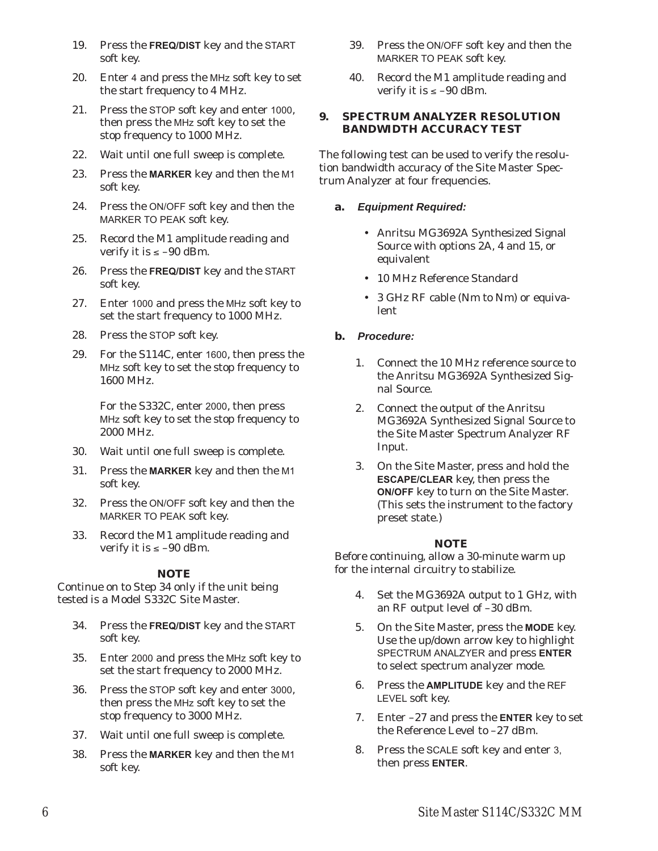- <span id="page-9-0"></span>19. Press the **FREQ/DIST** key and the START soft key.
- 20. Enter <sup>4</sup> and press the MHz soft key to set the start frequency to 4 MHz.
- 21. Press the STOP soft key and enter <sup>1000</sup>, then press the MHz soft key to set the stop frequency to 1000 MHz.
- 22. Wait until one full sweep is complete.
- 23. Press the **MARKER** key and then the M1 soft key.
- 24. Press the ON/OFF soft key and then the MARKER TO PEAK soft key.
- 25. Record the M1 amplitude reading and verify it is  $\le -90$  dBm.
- 26. Press the **FREQ/DIST** key and the START soft key.
- 27. Enter <sup>1000</sup> and press the MHz soft key to set the start frequency to 1000 MHz.
- 28. Press the STOP soft key.
- 29. For the S114C, enter <sup>1600</sup>, then press the MHz soft key to set the stop frequency to 1600 MHz.

For the S332C, enter 2000, then press MHz soft key to set the stop frequency to 2000 MHz.

- 30. Wait until one full sweep is complete.
- 31. Press the **MARKER** key and then the M1 soft key.
- 32. Press the ON/OFF soft key and then the MARKER TO PEAK soft key.
- 33. Record the M1 amplitude reading and verify it is  $\le -90$  dBm.

# *NOTE*

Continue on to Step 34 only if the unit being tested is a Model S332C Site Master.

- 34. Press the **FREQ/DIST** key and the START soft key.
- 35. Enter <sup>2000</sup> and press the MHz soft key to set the start frequency to 2000 MHz.
- 36. Press the STOP soft key and enter <sup>3000</sup>, then press the MHz soft key to set the stop frequency to 3000 MHz.
- 37. Wait until one full sweep is complete.
- 38. Press the **MARKER** key and then the M1 soft key.
- 39. Press the ON/OFF soft key and then the MARKER TO PEAK soft key.
- 40. Record the M1 amplitude reading and verify it is  $\le -90$  dBm.

## **9. SPECTRUM ANALYZER RESOLUTION BANDWIDTH ACCURACY TEST**

The following test can be used to verify the resolution bandwidth accuracy of the Site Master Spectrum Analyzer at four frequencies.

## **a.** *Equipment Required:*

- Anritsu MG3692A Synthesized Signal Source with options 2A, 4 and 15, or equivalent
- 10 MHz Reference Standard
- 3 GHz RF cable (Nm to Nm) or equivalent

# **b.** *Procedure:*

- 1. Connect the 10 MHz reference source to the Anritsu MG3692A Synthesized Signal Source.
- 2. Connect the output of the Anritsu MG3692A Synthesized Signal Source to the Site Master Spectrum Analyzer RF Input.
- 3. On the Site Master, press and hold the **ESCAPE/CLEAR** key, then press the **ON/OFF** key to turn on the Site Master. (This sets the instrument to the factory preset state.)

# *NOTE*

- 4. Set the MG3692A output to 1 GHz, with an RF output level of –30 dBm.
- 5. On the Site Master, press the **MODE** key. Use the up/down arrow key to highlight SPECTRUM ANALZYER and press **ENTER** to select spectrum analyzer mode.
- 6. Press the **AMPLITUDE** key and the REF LEVEL soft key.
- 7. Enter –27 and press the **ENTER** key to set the Reference Level to –27 dBm.
- 8. Press the SCALE soft key and enter 3, then press **ENTER**.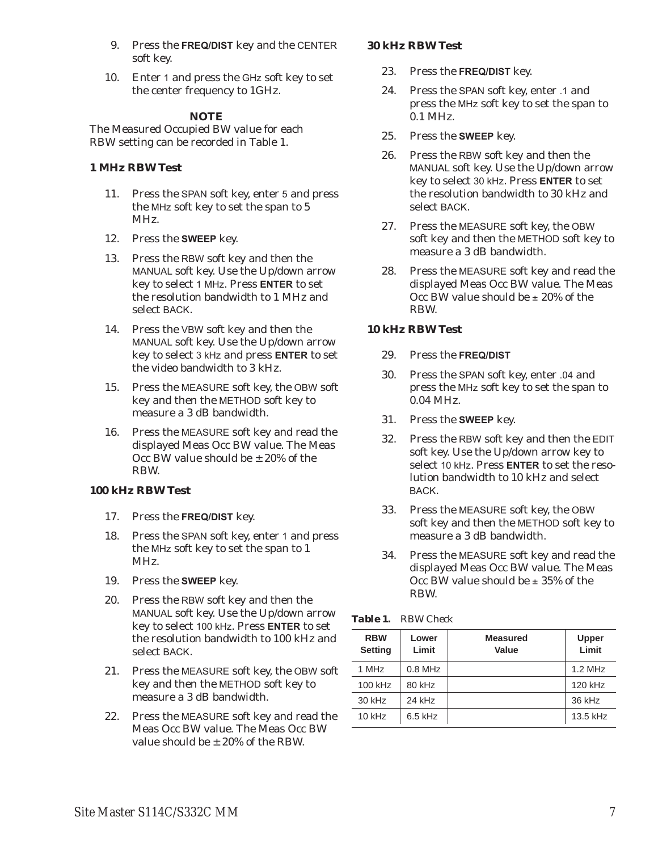- 9. Press the **FREQ/DIST** key and the CENTER soft key.
- 10. Enter <sup>1</sup> and press the GHz soft key to set the center frequency to 1GHz.

The Measured Occupied BW value for each RBW setting can be recorded in Table 1.

# **1 MHz RBW Test**

- 11. Press the SPAN soft key, enter 5 and press the MHz soft key to set the span to 5 MHz.
- 12. Press the **SWEEP** key.
- 13. Press the RBW soft key and then the MANUAL soft key. Use the Up/down arrow key to select 1 MHz. Press **ENTER** to set the resolution bandwidth to 1 MHz and select BACK.
- 14. Press the VBW soft key and then the MANUAL soft key. Use the Up/down arrow key to select 3 kHz and press **ENTER** to set the video bandwidth to 3 kHz.
- 15. Press the MEASURE soft key, the OBW soft key and then the METHOD soft key to measure a 3 dB bandwidth.
- 16. Press the MEASURE soft key and read the displayed Meas Occ BW value. The Meas Occ BW value should be  $+20\%$  of the RBW.

# **100 kHz RBW Test**

- 17. Press the **FREQ/DIST** key.
- 18. Press the SPAN soft key, enter <sup>1</sup> and press the MHz soft key to set the span to 1 MHz.
- 19. Press the **SWEEP** key.
- 20. Press the RBW soft key and then the MANUAL soft key. Use the Up/down arrow key to select 100 kHz. Press **ENTER** to set the resolution bandwidth to 100 kHz and select BACK.
- 21. Press the MEASURE soft key, the OBW soft key and then the METHOD soft key to measure a 3 dB bandwidth.
- 22. Press the MEASURE soft key and read the Meas Occ BW value. The Meas Occ BW value should be  $\pm$  20% of the RBW.

# **30 kHz RBW Test**

- 23. Press the **FREQ/DIST** key.
- 24. Press the SPAN soft key, enter .1 and press the MHz soft key to set the span to 0.1 MHz.
- 25. Press the **SWEEP** key.
- 26. Press the RBW soft key and then the MANUAL soft key. Use the Up/down arrow key to select 30 kHz. Press **ENTER** to set the resolution bandwidth to 30 kHz and select BACK.
- 27. Press the MEASURE soft key, the OBW soft key and then the METHOD soft key to measure a 3 dB bandwidth.
- 28. Press the MEASURE soft key and read the displayed Meas Occ BW value. The Meas Occ BW value should be  $\pm$  20% of the RBW.

# **10 kHz RBW Test**

- 29. Press the **FREQ/DIST**
- 30. Press the SPAN soft key, enter .04 and press the MHz soft key to set the span to 0.04 MHz.
- 31. Press the **SWEEP** key.
- 32. Press the RBW soft key and then the EDIT soft key. Use the Up/down arrow key to select 10 kHz. Press **ENTER** to set the resolution bandwidth to 10 kHz and select BACK.
- 33. Press the MEASURE soft key, the OBW soft key and then the METHOD soft key to measure a 3 dB bandwidth.
- 34. Press the MEASURE soft key and read the displayed Meas Occ BW value. The Meas Occ BW value should be  $\pm$  35% of the RBW.

| <b>RBW</b><br><b>Setting</b> | Lower<br>Limit | <b>Measured</b><br>Value | Upper<br>Limit |
|------------------------------|----------------|--------------------------|----------------|
| 1 MH <sub>z</sub>            | $0.8$ MHz      |                          | $1.2$ MHz      |
| 100 kHz                      | 80 kHz         |                          | 120 kHz        |
| 30 kHz                       | 24 kHz         |                          | 36 kHz         |
| $10$ kHz                     | $6.5$ kHz      |                          | 13.5 kHz       |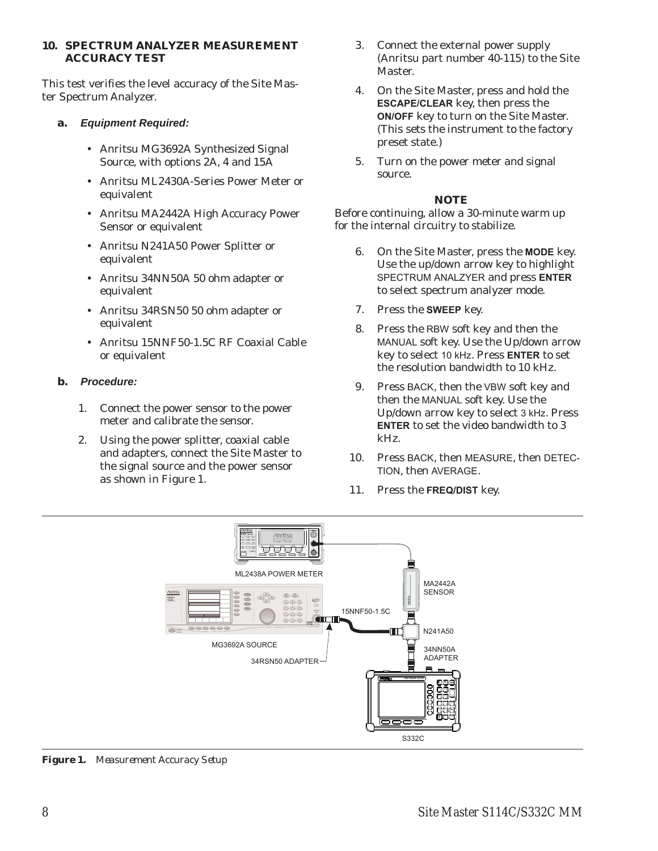#### <span id="page-11-0"></span>**10. SPECTRUM ANALYZER MEASUREMENT ACCURACY TEST**

This test verifies the level accuracy of the Site Master Spectrum Analyzer.

# **a.** *Equipment Required:*

- Anritsu MG3692A Synthesized Signal Source, with options 2A, 4 and 15A
- Anritsu ML2430A-Series Power Meter or equivalent
- Anritsu MA2442A High Accuracy Power Sensor or equivalent
- Anritsu N241A50 Power Splitter or equivalent
- Anritsu 34NN50A 50 ohm adapter or equivalent
- Anritsu 34RSN50 50 ohm adapter or equivalent
- Anritsu 15NNF50-1.5C RF Coaxial Cable or equivalent

# **b.** *Procedure:*

- 1. Connect the power sensor to the power meter and calibrate the sensor.
- 2. Using the power splitter, coaxial cable and adapters, connect the Site Master to the signal source and the power sensor as shown in Figure [1](#page-11-0).
- 3. Connect the external power supply (Anritsu part number 40-115) to the Site Master.
- 4. On the Site Master, press and hold the **ESCAPE/CLEAR** key, then press the **ON/OFF** key to turn on the Site Master. (This sets the instrument to the factory preset state.)
- 5. Turn on the power meter and signal source.

## *NOTE*

- 6. On the Site Master, press the **MODE** key. Use the up/down arrow key to highlight SPECTRUM ANALZYER and press **ENTER** to select spectrum analyzer mode.
- 7. Press the **SWEEP** key.
- 8. Press the RBW soft key and then the MANUAL soft key. Use the Up/down arrow key to select 10 kHz. Press **ENTER** to set the resolution bandwidth to 10 kHz.
- 9. Press BACK, then the VBW soft key and then the MANUAL soft key. Use the Up/down arrow key to select 3 kHz. Press **ENTER** to set the video bandwidth to 3 kHz.
- 10. Press BACK, then MEASURE, then DETEC-TION, then AVERAGE.
- 11. Press the **FREQ/DIST** key.



*Figure 1. Measurement Accuracy Setup*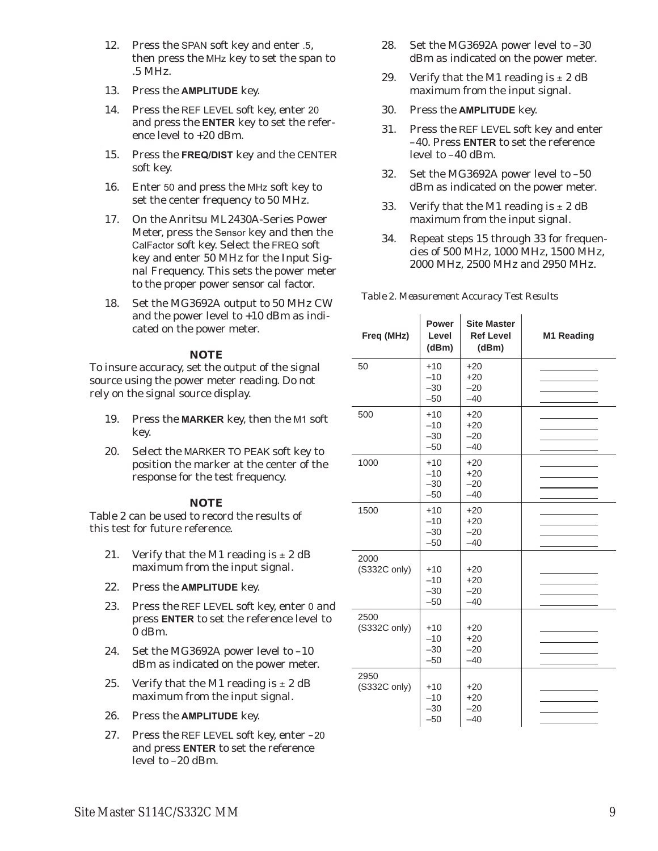- <span id="page-12-0"></span>12. Press the SPAN soft key and enter .5, then press the MHz key to set the span to .5 MHz.
- 13. Press the **AMPLITUDE** key.
- 14. Press the REF LEVEL soft key, enter <sup>20</sup> and press the **ENTER** key to set the reference level to +20 dBm.
- 15. Press the **FREQ/DIST** key and the CENTER soft key.
- 16. Enter <sup>50</sup> and press the MHz soft key to set the center frequency to 50 MHz.
- 17. On the Anritsu ML2430A-Series Power Meter, press the Sensor key and then the CalFactor soft key. Select the FREQ soft key and enter 50 MHz for the Input Signal Frequency. This sets the power meter to the proper power sensor cal factor.
- 18. Set the MG3692A output to 50 MHz CW and the power level to +10 dBm as indicated on the power meter.

To insure accuracy, set the output of the signal source using the power meter reading. Do not rely on the signal source display.

- 19. Press the **MARKER** key, then the M1 soft key.
- 20. Select the MARKER TO PEAK soft key to position the marker at the center of the response for the test frequency.

## *NOTE*

Table [2](#page-12-0) can be used to record the results of this test for future reference.

- 21. Verify that the M1 reading is  $\pm 2$  dB maximum from the input signal.
- 22. Press the **AMPLITUDE** key.
- 23. Press the REF LEVEL soft key, enter <sup>0</sup> and press **ENTER** to set the reference level to 0 dBm.
- 24. Set the MG3692A power level to –10 dBm as indicated on the power meter.
- 25. Verify that the M1 reading is  $\pm 2$  dB maximum from the input signal.
- 26. Press the **AMPLITUDE** key.
- 27. Press the REF LEVEL soft key, enter –<sup>20</sup> and press **ENTER** to set the reference level to –20 dBm.
- 28. Set the MG3692A power level to –30 dBm as indicated on the power meter.
- 29. Verify that the M1 reading is  $\pm 2$  dB maximum from the input signal.
- 30. Press the **AMPLITUDE** key.
- 31. Press the REF LEVEL soft key and enter –40. Press **ENTER** to set the reference level to –40 dBm.
- 32. Set the MG3692A power level to –50 dBm as indicated on the power meter.
- 33. Verify that the M1 reading is  $\pm 2$  dB maximum from the input signal.
- 34. Repeat steps 15 through 33 for frequencies of 500 MHz, 1000 MHz, 1500 MHz, 2000 MHz, 2500 MHz and 2950 MHz.

| Freq (MHz)           | <b>Power</b><br>Level<br>(dBm)   | <b>Site Master</b><br><b>Ref Level</b><br>(dBm) | M1 Reading |
|----------------------|----------------------------------|-------------------------------------------------|------------|
| 50                   | $+10$<br>$-10$<br>$-30$<br>$-50$ | $+20$<br>$+20$<br>$-20$<br>$-40$                |            |
| 500                  | $+10$<br>$-10$<br>$-30$<br>$-50$ | $+20$<br>$+20$<br>$-20$<br>$-40$                |            |
| 1000                 | $+10$<br>$-10$<br>$-30$<br>$-50$ | $+20$<br>$+20$<br>$-20$<br>$-40$                |            |
| 1500                 | $+10$<br>$-10$<br>$-30$<br>$-50$ | $+20$<br>$+20$<br>$-20$<br>$-40$                |            |
| 2000<br>(S332C only) | $+10$<br>$-10$<br>$-30$<br>$-50$ | $+20$<br>$+20$<br>$-20$<br>$-40$                |            |
| 2500<br>(S332C only) | $+10$<br>$-10$<br>$-30$<br>$-50$ | $+20$<br>$+20$<br>$-20$<br>$-40$                |            |
| 2950<br>(S332C only) | $+10$<br>$-10$<br>$-30$<br>$-50$ | $+20$<br>$+20$<br>$-20$<br>$-40$                |            |

*Table 2. Measurement Accuracy Test Results*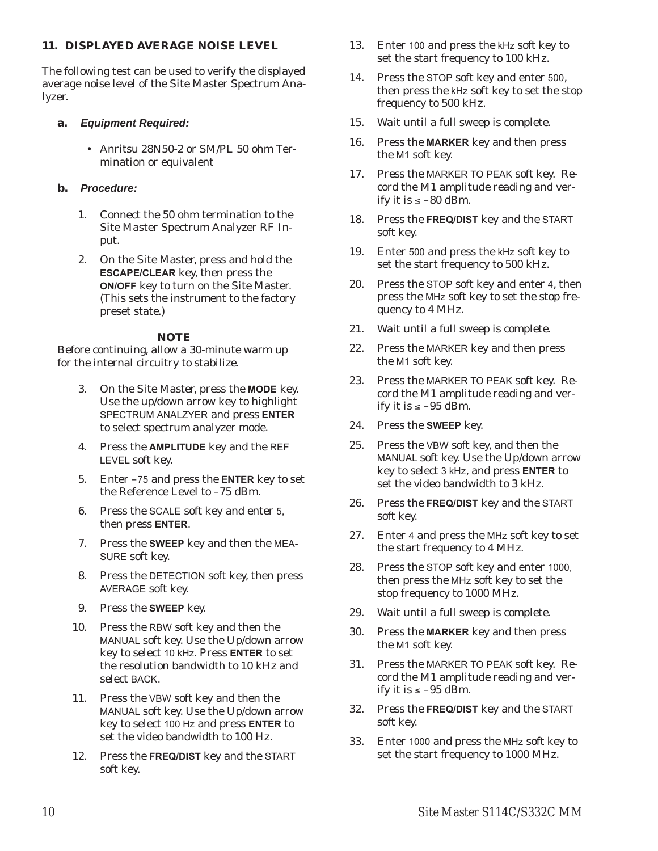## **11. DISPLAYED AVERAGE NOISE LEVEL**

The following test can be used to verify the displayed average noise level of the Site Master Spectrum Analyzer.

- **a.** *Equipment Required:*
	- Anritsu 28N50-2 or SM/PL 50 ohm Termination or equivalent

# **b.** *Procedure:*

- 1. Connect the 50 ohm termination to the Site Master Spectrum Analyzer RF Input.
- 2. On the Site Master, press and hold the **ESCAPE/CLEAR** key, then press the **ON/OFF** key to turn on the Site Master. (This sets the instrument to the factory preset state.)

## *NOTE*

- 3. On the Site Master, press the **MODE** key. Use the up/down arrow key to highlight SPECTRUM ANALZYER and press **ENTER** to select spectrum analyzer mode.
- 4. Press the **AMPLITUDE** key and the REF LEVEL soft key.
- 5. Enter –75 and press the **ENTER** key to set the Reference Level to –75 dBm.
- 6. Press the SCALE soft key and enter 5, then press **ENTER**.
- 7. Press the **SWEEP** key and then the MEA-SURE soft key.
- 8. Press the DETECTION soft key, then press AVERAGE soft key.
- 9. Press the **SWEEP** key.
- 10. Press the RBW soft key and then the MANUAL soft key. Use the Up/down arrow key to select 10 kHz. Press **ENTER** to set the resolution bandwidth to 10 kHz and select BACK.
- 11. Press the VBW soft key and then the MANUAL soft key. Use the Up/down arrow key to select 100 Hz and press **ENTER** to set the video bandwidth to 100 Hz.
- 12. Press the **FREQ/DIST** key and the START soft key.
- 13. Enter <sup>100</sup> and press the kHz soft key to set the start frequency to 100 kHz.
- 14. Press the STOP soft key and enter 500, then press the kHz soft key to set the stop frequency to 500 kHz.
- 15. Wait until a full sweep is complete.
- 16. Press the **MARKER** key and then press the M1 soft key.
- 17. Press the MARKER TO PEAK soft key. Record the M1 amplitude reading and verify it is  $\le -80$  dBm.
- 18. Press the **FREQ/DIST** key and the START soft key.
- 19. Enter <sup>500</sup> and press the kHz soft key to set the start frequency to 500 kHz.
- 20. Press the STOP soft key and enter <sup>4</sup>, then press the MHz soft key to set the stop frequency to 4 MHz.
- 21. Wait until a full sweep is complete.
- 22. Press the MARKER key and then press the M1 soft key.
- 23. Press the MARKER TO PEAK soft key. Record the M1 amplitude reading and verify it is  $\le -95$  dBm.
- 24. Press the **SWEEP** key.
- 25. Press the VBW soft key, and then the MANUAL soft key. Use the Up/down arrow key to select 3 kHz, and press **ENTER** to set the video bandwidth to 3 kHz.
- 26. Press the **FREQ/DIST** key and the START soft key.
- 27. Enter 4 and press the MHz soft key to set the start frequency to 4 MHz.
- 28. Press the STOP soft key and enter 1000, then press the MHz soft key to set the stop frequency to 1000 MHz.
- 29. Wait until a full sweep is complete.
- 30. Press the **MARKER** key and then press the M1 soft key.
- 31. Press the MARKER TO PEAK soft key. Record the M1 amplitude reading and verify it is  $\le -95$  dBm.
- 32. Press the **FREQ/DIST** key and the START soft key.
- 33. Enter <sup>1000</sup> and press the MHz soft key to set the start frequency to 1000 MHz.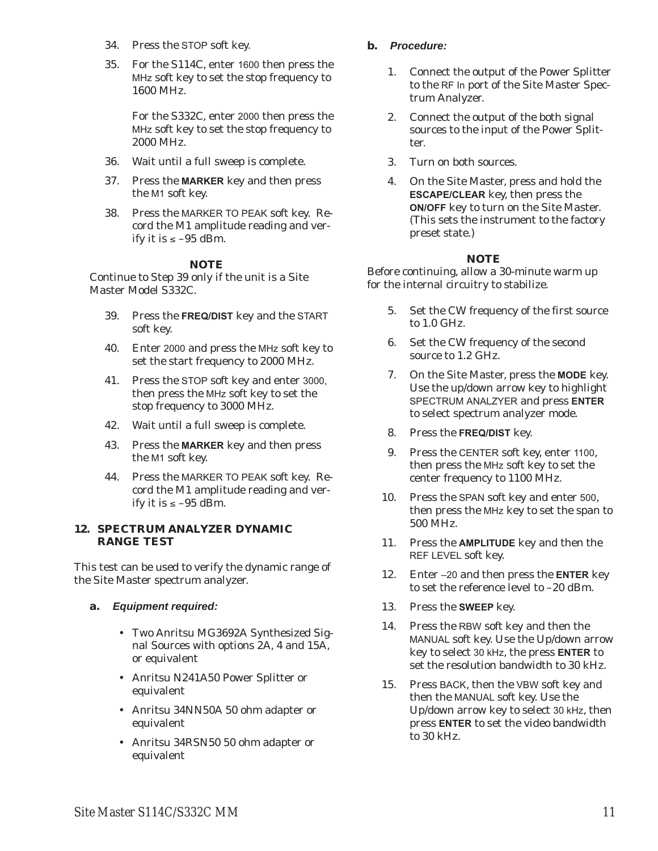- 34. Press the STOP soft key.
- 35. For the S114C, enter 1600 then press the MHz soft key to set the stop frequency to 1600 MHz.

For the S332C, enter 2000 then press the MHz soft key to set the stop frequency to 2000 MHz.

- 36. Wait until a full sweep is complete.
- 37. Press the **MARKER** key and then press the M1 soft key.
- 38. Press the MARKER TO PEAK soft key. Record the M1 amplitude reading and verify it is  $\le -95$  dBm.

#### *NOTE*

Continue to Step 39 only if the unit is a Site Master Model S332C.

- 39. Press the **FREQ/DIST** key and the START soft key.
- 40. Enter <sup>2000</sup> and press the MHz soft key to set the start frequency to 2000 MHz.
- 41. Press the STOP soft key and enter 3000, then press the MHz soft key to set the stop frequency to 3000 MHz.
- 42. Wait until a full sweep is complete.
- 43. Press the **MARKER** key and then press the M1 soft key.
- 44. Press the MARKER TO PEAK soft key. Record the M1 amplitude reading and verify it is  $\le -95$  dBm.

#### **12. SPECTRUM ANALYZER DYNAMIC RANGE TEST**

This test can be used to verify the dynamic range of the Site Master spectrum analyzer.

- **a.** *Equipment required:*
	- Two Anritsu MG3692A Synthesized Signal Sources with options 2A, 4 and 15A, or equivalent
	- Anritsu N241A50 Power Splitter or equivalent
	- Anritsu 34NN50A 50 ohm adapter or equivalent
	- Anritsu 34RSN50 50 ohm adapter or equivalent

## **b.** *Procedure:*

- 1. Connect the output of the Power Splitter to the RF In port of the Site Master Spectrum Analyzer.
- 2. Connect the output of the both signal sources to the input of the Power Splitter.
- 3. Turn on both sources.
- 4. On the Site Master, press and hold the **ESCAPE/CLEAR** key, then press the **ON/OFF** key to turn on the Site Master. (This sets the instrument to the factory preset state.)

## *NOTE*

- 5. Set the CW frequency of the first source to 1.0 GHz.
- 6. Set the CW frequency of the second source to 1.2 GHz.
- 7. On the Site Master, press the **MODE** key. Use the up/down arrow key to highlight SPECTRUM ANALZYER and press **ENTER** to select spectrum analyzer mode.
- 8. Press the **FREQ/DIST** key.
- 9. Press the CENTER soft key, enter <sup>1100</sup>, then press the MHz soft key to set the center frequency to 1100 MHz.
- 10. Press the SPAN soft key and enter <sup>500</sup>, then press the MHz key to set the span to 500 MHz.
- 11. Press the **AMPLITUDE** key and then the REF LEVEL soft key.
- 12. Enter –20 and then press the **ENTER** key to set the reference level to –20 dBm.
- 13. Press the **SWEEP** key.
- 14. Press the RBW soft key and then the MANUAL soft key. Use the Up/down arrow key to select 30 kHz, the press **ENTER** to set the resolution bandwidth to 30 kHz.
- 15. Press BACK, then the VBW soft key and then the MANUAL soft key. Use the Up/down arrow key to select 30 kHz, then press **ENTER** to set the video bandwidth to 30 kHz.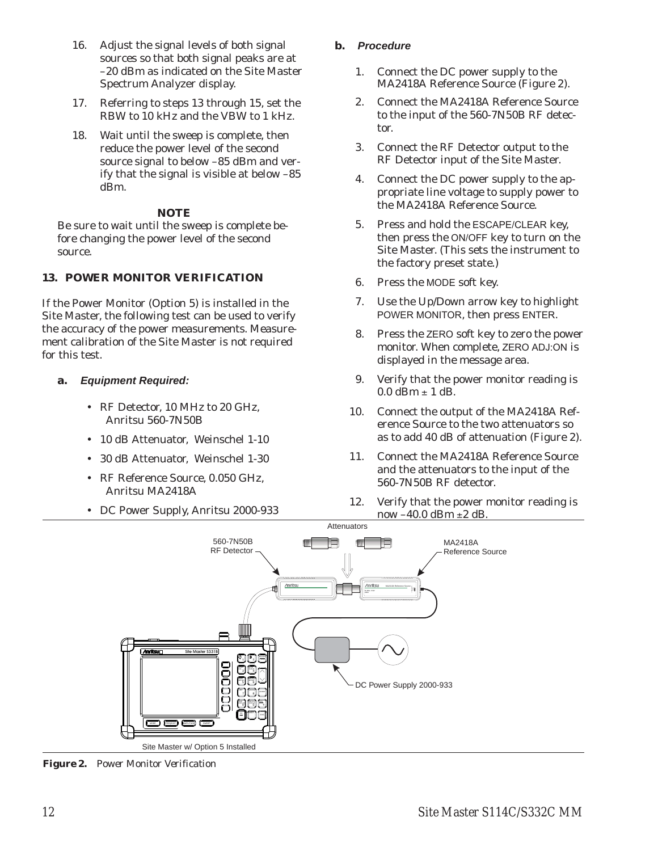- <span id="page-15-0"></span>16. Adjust the signal levels of both signal sources so that both signal peaks are at –20 dBm as indicated on the Site Master Spectrum Analyzer display.
- 17. Referring to steps 13 through 15, set the RBW to 10 kHz and the VBW to 1 kHz.
- 18. Wait until the sweep is complete, then reduce the power level of the second source signal to below –85 dBm and verify that the signal is visible at below –85 dBm.

Be sure to wait until the sweep is complete before changing the power level of the second source.

# **13. POWER MONITOR VERIFICATION**

If the Power Monitor (Option 5) is installed in the Site Master, the following test can be used to verify the accuracy of the power measurements. Measurement calibration of the Site Master is not required for this test.

## **a.** *Equipment Required:*

- RF Detector, 10 MHz to 20 GHz, Anritsu 560-7N50B
- 10 dB Attenuator, Weinschel 1-10
- 30 dB Attenuator, Weinschel 1-30
- RF Reference Source, 0.050 GHz, Anritsu MA2418A
- DC Power Supply, Anritsu 2000-933

## **b.** *Procedure*

- 1. Connect the DC power supply to the MA2418A Reference Source (Figure [2\)](#page-15-0).
- 2. Connect the MA2418A Reference Source to the input of the 560-7N50B RF detector.
- 3. Connect the RF Detector output to the RF Detector input of the Site Master.
- 4. Connect the DC power supply to the appropriate line voltage to supply power to the MA2418A Reference Source.
- 5. Press and hold the ESCAPE/CLEAR key, then press the ON/OFF key to turn on the Site Master. (This sets the instrument to the factory preset state.)
- 6. Press the MODE soft key.
- 7. Use the Up/Down arrow key to highlight POWER MONITOR, then press ENTER.
- 8. Press the ZERO soft key to zero the power monitor. When complete, ZERO ADJ:ON is displayed in the message area.
- 9. Verify that the power monitor reading is  $0.0$  dBm  $\pm$  1 dB.
- 10. Connect the output of the MA2418A Reference Source to the two attenuators so as to add 40 dB of attenuation (Figure [2\)](#page-15-0).
- 11. Connect the MA2418A Reference Source and the attenuators to the input of the 560-7N50B RF detector.
- 12. Verify that the power monitor reading is now  $-40.0$  dBm  $\pm 2$  dB.



*Figure 2. Power Monitor Verification*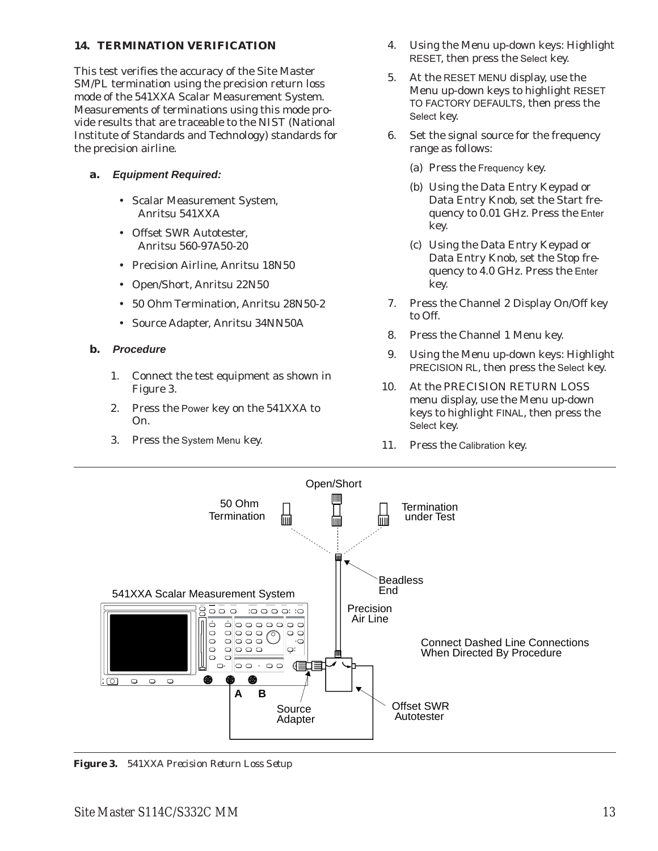## <span id="page-16-0"></span>**14. TERMINATION VERIFICATION**

This test verifies the accuracy of the Site Master SM/PL termination using the precision return loss mode of the 541XXA Scalar Measurement System. Measurements of terminations using this mode provide results that are traceable to the NIST (National Institute of Standards and Technology) standards for the precision airline.

## **a.** *Equipment Required:*

- Scalar Measurement System, Anritsu 541XXA
- Offset SWR Autotester, Anritsu 560-97A50-20
- Precision Airline, Anritsu 18N50
- Open/Short, Anritsu 22N50
- 50 Ohm Termination, Anritsu 28N50-2
- Source Adapter, Anritsu 34NN50A

#### **b.** *Procedure*

- 1. Connect the test equipment as shown in Figure [3.](#page-16-0)
- 2. Press the Power key on the 541XXA to On.
- 3. Press the System Menu key.
- 4. Using the Menu up-down keys: Highlight RESET, then press the Select key.
- 5. At the RESET MENU display, use the Menu up-down keys to highlight RESET TO FACTORY DEFAULTS, then press the Select key.
- 6. Set the signal source for the frequency range as follows:
	- (a) Press the Frequency key.
	- (b) Using the Data Entry Keypad or Data Entry Knob, set the Start frequency to 0.01 GHz. Press the Enter key.
	- (c) Using the Data Entry Keypad or Data Entry Knob, set the Stop frequency to 4.0 GHz. Press the Enter key.
- 7. Press the Channel 2 Display On/Off key to Off.
- 8. Press the Channel 1 Menu key.
- 9. Using the Menu up-down keys: Highlight PRECISION RL, then press the Select key.
- 10. At the PRECISION RETURN LOSS menu display, use the Menu up-down keys to highlight FINAL, then press the Select key.
- 11. Press the Calibration key.



*Figure 3. 541XXA Precision Return Loss Setup*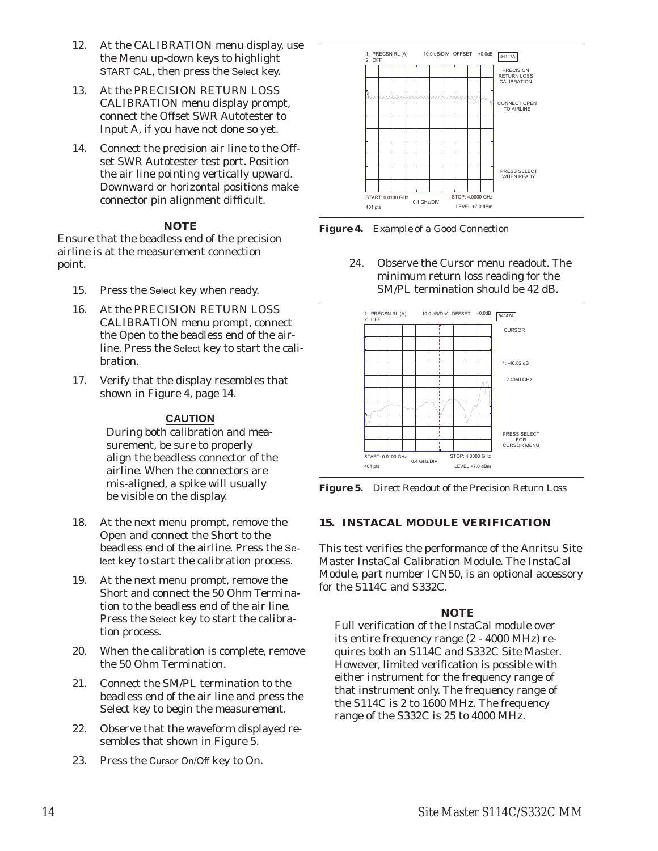- <span id="page-17-0"></span>12. At the CALIBRATION menu display, use the Menu up-down keys to highlight START CAL, then press the Select key.
- 13. At the PRECISION RETURN LOSS CALIBRATION menu display prompt, connect the Offset SWR Autotester to Input A, if you have not done so yet.
- 14. Connect the precision air line to the Offset SWR Autotester test port. Position the air line pointing vertically upward. Downward or horizontal positions make connector pin alignment difficult.

Ensure that the beadless end of the precision airline is at the measurement connection point.

- 15. Press the Select key when ready.
- 16. At the PRECISION RETURN LOSS CALIBRATION menu prompt, connect the Open to the beadless end of the airline. Press the Select key to start the calibration.
- 17. Verify that the display resembles that shown in Figure [4](#page-17-0), page [14](#page-17-0).

#### **CAUTION**

During both calibration and measurement, be sure to properly align the beadless connector of the airline. When the connectors are mis-aligned, a spike will usually be visible on the display.

- 18. At the next menu prompt, remove the Open and connect the Short to the beadless end of the airline. Press the Select key to start the calibration process.
- 19. At the next menu prompt, remove the Short and connect the 50 Ohm Termination to the beadless end of the air line. Press the Select key to start the calibration process.
- 20. When the calibration is complete, remove the 50 Ohm Termination.
- 21. Connect the SM/PL termination to the beadless end of the air line and press the Select key to begin the measurement.
- 22. Observe that the waveform displayed resembles that shown in Figure [5](#page-17-0).
- 23. Press the Cursor On/Off key to On.



*Figure 4. Example of a Good Connection*

24. Observe the Cursor menu readout. The minimum return loss reading for the SM/PL termination should be 42 dB.



*Figure 5. Direct Readout of the Precision Return Loss*

## **15. INSTACAL MODULE VERIFICATION**

This test verifies the performance of the Anritsu Site Master InstaCal Calibration Module. The InstaCal Module, part number ICN50, is an optional accessory for the S114C and S332C.

## *NOTE*

Full verification of the InstaCal module over its entire frequency range (2 - 4000 MHz) requires both an S114C and S332C Site Master. However, limited verification is possible with either instrument for the frequency range of that instrument only. The frequency range of the S114C is 2 to 1600 MHz. The frequency range of the S332C is 25 to 4000 MHz.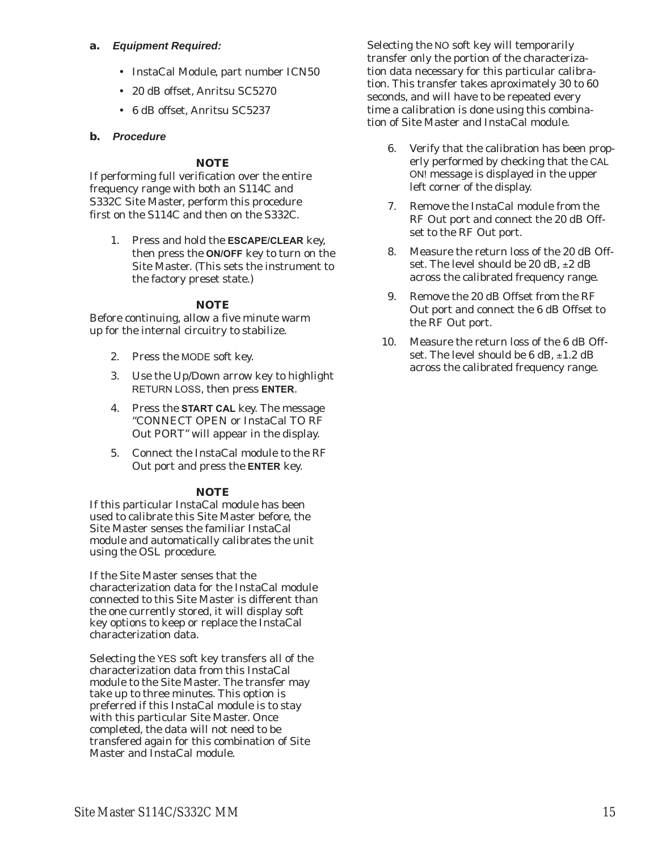#### <span id="page-18-0"></span>**a.** *Equipment Required:*

- InstaCal Module, part number ICN50
- 20 dB offset, Anritsu SC5270
- 6 dB offset, Anritsu SC5237

#### **b.** *Procedure*

#### *NOTE*

If performing full verification over the entire frequency range with both an S114C and S332C Site Master, perform this procedure first on the S114C and then on the S332C.

1. Press and hold the **ESCAPE/CLEAR** key, then press the **ON/OFF** key to turn on the Site Master. (This sets the instrument to the factory preset state.)

#### *NOTE*

Before continuing, allow a five minute warm up for the internal circuitry to stabilize.

- 2. Press the MODE soft key.
- 3. Use the Up/Down arrow key to highlight RETURN LOSS, then press **ENTER**.
- 4. Press the **START CAL** key. The message "CONNECT OPEN or InstaCal TO RF Out PORT" will appear in the display.
- 5. Connect the InstaCal module to the RF Out port and press the **ENTER** key.

#### *NOTE*

If this particular InstaCal module has been used to calibrate this Site Master before, the Site Master senses the familiar InstaCal module and automatically calibrates the unit using the OSL procedure.

If the Site Master senses that the characterization data for the InstaCal module connected to this Site Master is different than the one currently stored, it will display soft key options to keep or replace the InstaCal characterization data.

Selecting the YES soft key transfers all of the characterization data from this InstaCal module to the Site Master. The transfer may take up to three minutes. This option is preferred if this InstaCal module is to stay with this particular Site Master. Once completed, the data will not need to be transfered again for this combination of Site Master and InstaCal module.

Selecting the NO soft key will temporarily transfer only the portion of the characterization data necessary for this particular calibration. This transfer takes aproximately 30 to 60 seconds, and will have to be repeated every time a calibration is done using this combination of Site Master and InstaCal module.

- 6. Verify that the calibration has been properly performed by checking that the CAL ON! message is displayed in the upper left corner of the display.
- 7. Remove the InstaCal module from the RF Out port and connect the 20 dB Offset to the RF Out port.
- 8. Measure the return loss of the 20 dB Offset. The level should be 20 dB,  $\pm 2$  dB across the calibrated frequency range.
- 9. Remove the 20 dB Offset from the RF Out port and connect the 6 dB Offset to the RF Out port.
- 10. Measure the return loss of the 6 dB Offset. The level should be 6 dB,  $\pm 1.2$  dB across the calibrated frequency range.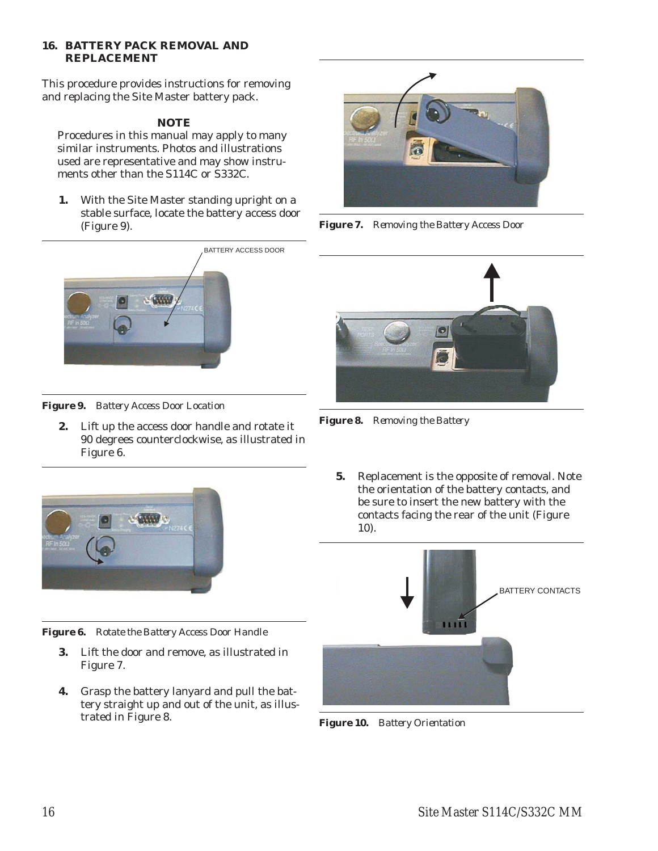#### <span id="page-19-0"></span>**16. BATTERY PACK REMOVAL AND REPLACEMENT**

This procedure provides instructions for removing and replacing the Site Master battery pack.

# *NOTE*

Procedures in this manual may apply to many similar instruments. Photos and illustrations used are representative and may show instruments other than the S114C or S332C.

**1.** With the Site Master standing upright on a stable surface, locate the battery access door (Figure [9](#page-19-0)).



*Figure 7. Removing the Battery Access Door*



*Figure 9. Battery Access Door Location*

**2.** Lift up the access door handle and rotate it 90 degrees counterclockwise, as illustrated in Figure [6.](#page-19-0)



*Figure 6. Rotate the Battery Access Door Handle*

- **3.** Lift the door and remove, as illustrated in Figure [7.](#page-19-0)
- **4.** Grasp the battery lanyard and pull the battery straight up and out of the unit, as illustrated in Figure [8](#page-19-0).



*Figure 8. Removing the Battery*

**5.** Replacement is the opposite of removal. Note the orientation of the battery contacts, and be sure to insert the new battery with the contacts facing the rear of the unit (Figure [10](#page-19-0)).



*Figure 10. Battery Orientation*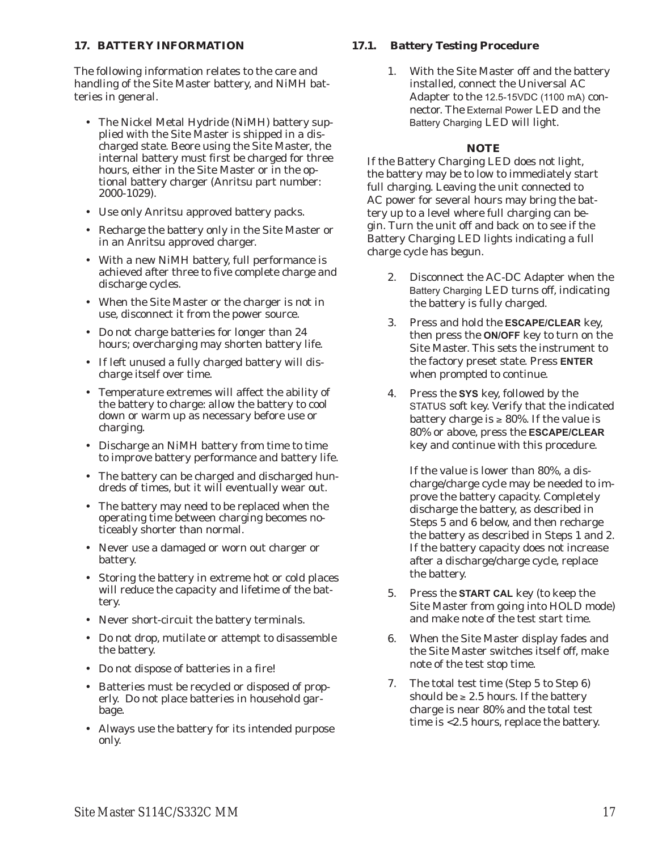#### **17. BATTERY INFORMATION**

The following information relates to the care and handling of the Site Master battery, and NiMH batteries in general.

- The Nickel Metal Hydride (NiMH) battery supplied with the Site Master is shipped in a discharged state. Beore using the Site Master, the internal battery must first be charged for three hours, either in the Site Master or in the optional battery charger (Anritsu part number: 2000-1029).
- Use only Anritsu approved battery packs.
- Recharge the battery only in the Site Master or in an Anritsu approved charger.
- With a new NiMH battery, full performance is achieved after three to five complete charge and discharge cycles.
- When the Site Master or the charger is not in use, disconnect it from the power source.
- Do not charge batteries for longer than 24 hours; overcharging may shorten battery life.
- If left unused a fully charged battery will discharge itself over time.
- Temperature extremes will affect the ability of the battery to charge: allow the battery to cool down or warm up as necessary before use or charging.
- Discharge an NiMH battery from time to time to improve battery performance and battery life.
- The battery can be charged and discharged hundreds of times, but it will eventually wear out.
- The battery may need to be replaced when the operating time between charging becomes noticeably shorter than normal.
- Never use a damaged or worn out charger or battery.
- $\bullet$  Storing the battery in extreme hot or cold places will reduce the capacity and lifetime of the battery.
- Never short-circuit the battery terminals.
- Do not drop, mutilate or attempt to disassemble the battery.
- Do not dispose of batteries in a fire!
- Batteries must be recycled or disposed of properly. Do not place batteries in household garbage.
- Always use the battery for its intended purpose only.

#### **17.1. Battery Testing Procedure**

1. With the Site Master off and the battery installed, connect the Universal AC Adapter to the 12.5-15VDC (1100 mA) connector. The External Power LED and the Battery Charging LED will light.

# *NOTE*

If the Battery Charging LED does not light, the battery may be to low to immediately start full charging. Leaving the unit connected to AC power for several hours may bring the battery up to a level where full charging can begin. Turn the unit off and back on to see if the Battery Charging LED lights indicating a full charge cycle has begun.

- 2. Disconnect the AC-DC Adapter when the Battery Charging LED turns off, indicating the battery is fully charged.
- 3. Press and hold the **ESCAPE/CLEAR** key, then press the **ON/OFF** key to turn on the Site Master. This sets the instrument to the factory preset state. Press **ENTER** when prompted to continue.
- 4. Press the **SYS** key, followed by the STATUS soft key. Verify that the indicated battery charge is  $\geq 80\%$ . If the value is 80% or above, press the **ESCAPE/CLEAR** key and continue with this procedure.

If the value is lower than 80%, a discharge/charge cycle may be needed to improve the battery capacity. Completely discharge the battery, as described in Steps 5 and 6 below, and then recharge the battery as described in Steps 1 and 2. If the battery capacity does not increase after a discharge/charge cycle, replace the battery.

- 5. Press the **START CAL** key (to keep the Site Master from going into HOLD mode) and make note of the test start time.
- 6. When the Site Master display fades and the Site Master switches itself off, make note of the test stop time.
- 7. The total test time (Step 5 to Step 6) should be  $\geq 2.5$  hours. If the battery charge is near 80% and the total test time is <2.5 hours, replace the battery.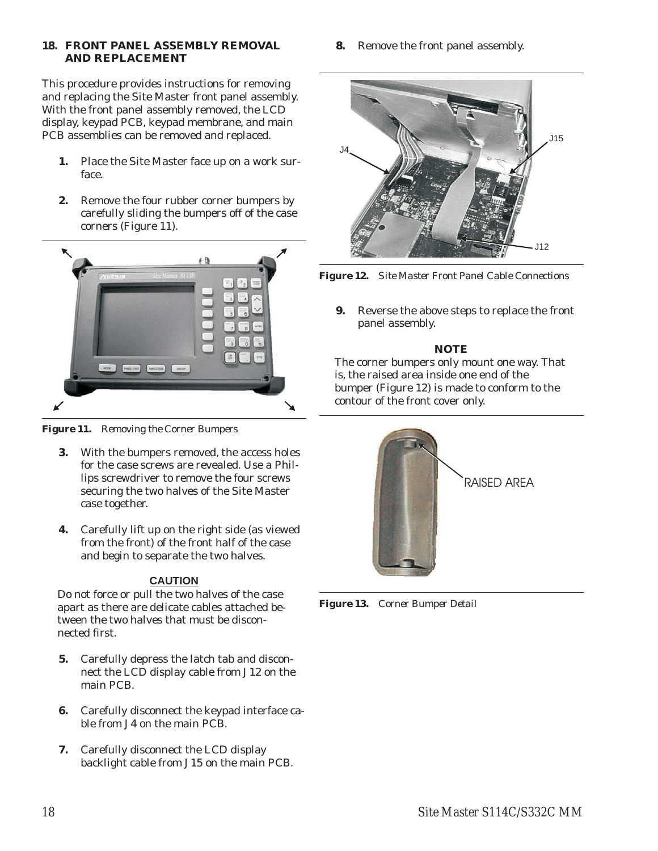#### <span id="page-21-0"></span>**18. FRONT PANEL ASSEMBLY REMOVAL AND REPLACEMENT**

This procedure provides instructions for removing and replacing the Site Master front panel assembly. With the front panel assembly removed, the LCD display, keypad PCB, keypad membrane, and main PCB assemblies can be removed and replaced.

- **1.** Place the Site Master face up on a work surface.
- **2.** Remove the four rubber corner bumpers by carefully sliding the bumpers off of the case corners (Figure [11\)](#page-21-0).



*Figure 11. Removing the Corner Bumpers*

- **3.** With the bumpers removed, the access holes for the case screws are revealed. Use a Phillips screwdriver to remove the four screws securing the two halves of the Site Master case together.
- **4.** Carefully lift up on the right side (as viewed from the front) of the front half of the case and begin to separate the two halves.

# **CAUTION**

Do not force or pull the two halves of the case apart as there are delicate cables attached between the two halves that must be disconnected first.

- **5.** Carefully depress the latch tab and disconnect the LCD display cable from J12 on the main PCB.
- **6.** Carefully disconnect the keypad interface cable from J4 on the main PCB.
- **7.** Carefully disconnect the LCD display backlight cable from J15 on the main PCB.

**8.** Remove the front panel assembly.



*Figure 12. Site Master Front Panel Cable Connections*

**9.** Reverse the above steps to replace the front panel assembly.

# *NOTE*

The corner bumpers only mount one way. That is, the raised area inside one end of the bumper (Figure [12\)](#page-21-0) is made to conform to the contour of the front cover only.



*Figure 13. Corner Bumper Detail*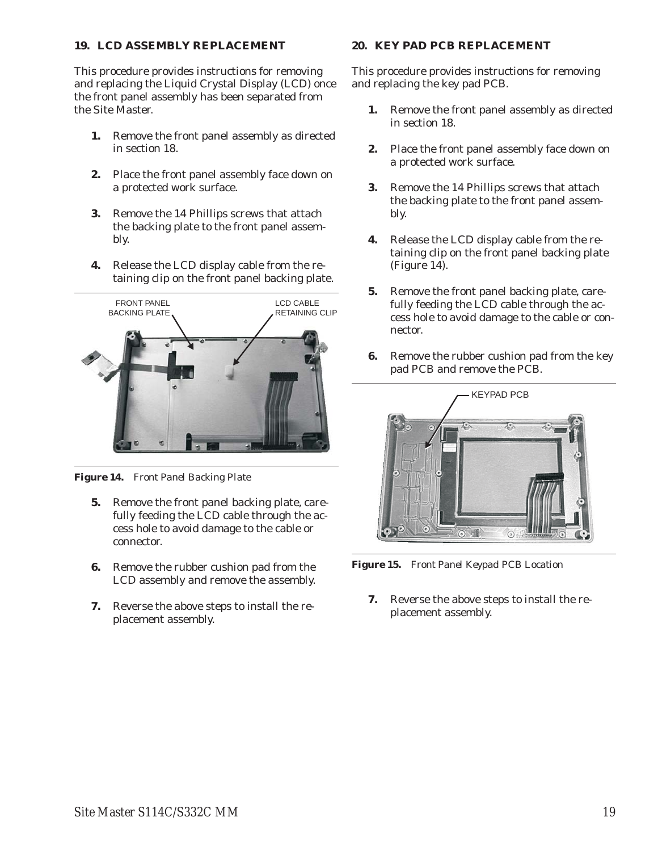#### <span id="page-22-0"></span>**19. LCD ASSEMBLY REPLACEMENT**

This procedure provides instructions for removing and replacing the Liquid Crystal Display (LCD) once the front panel assembly has been separated from the Site Master.

- **1.** Remove the front panel assembly as directed in section [18.](#page-21-0)
- **2.** Place the front panel assembly face down on a protected work surface.
- **3.** Remove the 14 Phillips screws that attach the backing plate to the front panel assembly.
- **4.** Release the LCD display cable from the retaining clip on the front panel backing plate.



*Figure 14. Front Panel Backing Plate*

- **5.** Remove the front panel backing plate, carefully feeding the LCD cable through the access hole to avoid damage to the cable or connector.
- **6.** Remove the rubber cushion pad from the LCD assembly and remove the assembly.
- **7.** Reverse the above steps to install the replacement assembly.

#### **20. KEY PAD PCB REPLACEMENT**

This procedure provides instructions for removing and replacing the key pad PCB.

- **1.** Remove the front panel assembly as directed in section [18.](#page-21-0)
- **2.** Place the front panel assembly face down on a protected work surface.
- **3.** Remove the 14 Phillips screws that attach the backing plate to the front panel assembly.
- **4.** Release the LCD display cable from the retaining clip on the front panel backing plate (Figure [14](#page-22-0)).
- **5.** Remove the front panel backing plate, carefully feeding the LCD cable through the access hole to avoid damage to the cable or connector.
- **6.** Remove the rubber cushion pad from the key pad PCB and remove the PCB.



*Figure 15. Front Panel Keypad PCB Location*

**7.** Reverse the above steps to install the replacement assembly.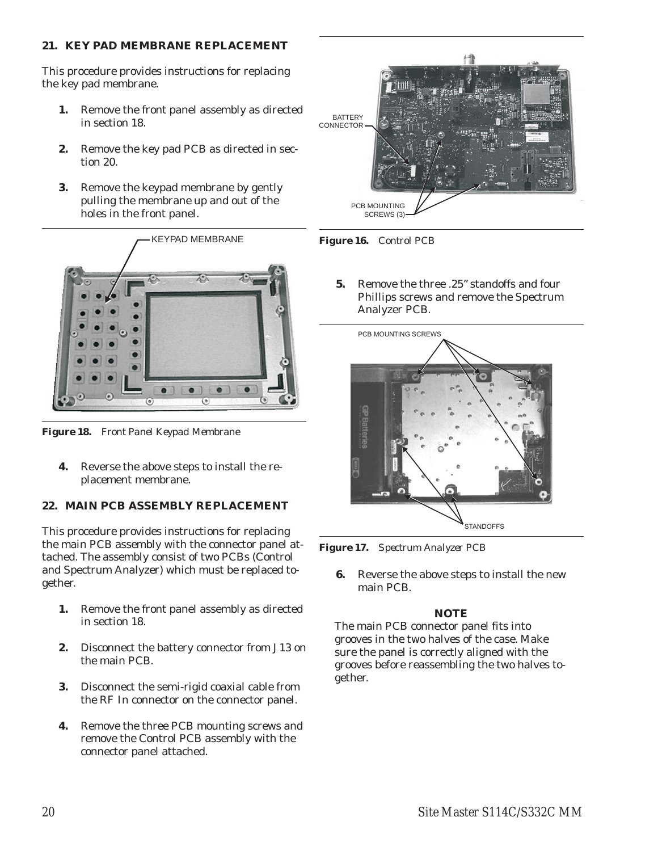## <span id="page-23-0"></span>**21. KEY PAD MEMBRANE REPLACEMENT**

This procedure provides instructions for replacing the key pad membrane.

- **1.** Remove the front panel assembly as directed in section [18.](#page-21-0)
- **2.** Remove the key pad PCB as directed in section [20.](#page-22-0)
- **3.** Remove the keypad membrane by gently pulling the membrane up and out of the holes in the front panel.



*Figure 18. Front Panel Keypad Membrane*

**4.** Reverse the above steps to install the replacement membrane.

# **22. MAIN PCB ASSEMBLY REPLACEMENT**

This procedure provides instructions for replacing the main PCB assembly with the connector panel attached. The assembly consist of two PCBs (Control and Spectrum Analyzer) which must be replaced together.

- **1.** Remove the front panel assembly as directed in section [18.](#page-21-0)
- **2.** Disconnect the battery connector from J13 on the main PCB.
- **3.** Disconnect the semi-rigid coaxial cable from the RF In connector on the connector panel.
- **4.** Remove the three PCB mounting screws and remove the Control PCB assembly with the connector panel attached.



*Figure 16. Control PCB*

**5.** Remove the three .25" standoffs and four Phillips screws and remove the Spectrum Analyzer PCB.



*Figure 17. Spectrum Analyzer PCB*

**6.** Reverse the above steps to install the new main PCB.

## *NOTE*

The main PCB connector panel fits into grooves in the two halves of the case. Make sure the panel is correctly aligned with the grooves before reassembling the two halves together.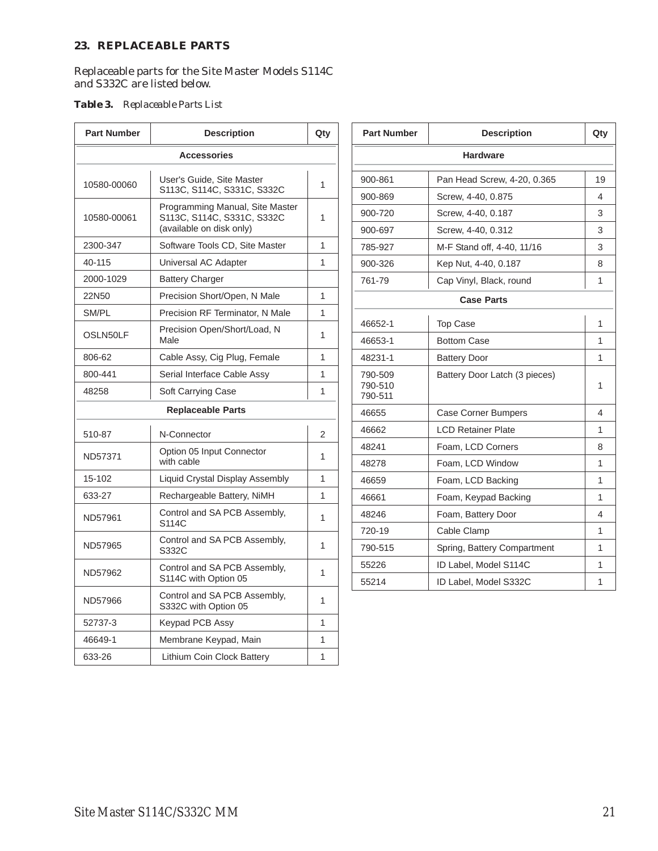#### <span id="page-24-0"></span>**23. REPLACEABLE PARTS**

Replaceable parts for the Site Master Models S114C and S332C are listed below.

#### *Table 3. Replaceable Parts List*

| <b>Part Number</b>                               | <b>Description</b>                                            | Qty            | <b>Part Number</b> | <b>Description</b>            | Qty          |  |
|--------------------------------------------------|---------------------------------------------------------------|----------------|--------------------|-------------------------------|--------------|--|
| <b>Accessories</b>                               |                                                               |                | <b>Hardware</b>    |                               |              |  |
| 10580-00060                                      | User's Guide, Site Master                                     | $\mathbf{1}$   | 900-861            | Pan Head Screw, 4-20, 0.365   | 19           |  |
|                                                  | S113C, S114C, S331C, S332C                                    |                | 900-869            | Screw, 4-40, 0.875            | 4            |  |
| 10580-00061                                      | Programming Manual, Site Master<br>S113C, S114C, S331C, S332C | $\mathbf{1}$   | 900-720            | Screw, 4-40, 0.187            | 3            |  |
|                                                  | (available on disk only)                                      |                | 900-697            | Screw, 4-40, 0.312            | 3            |  |
| 2300-347                                         | Software Tools CD, Site Master                                | $\mathbf{1}$   | 785-927            | M-F Stand off, 4-40, 11/16    | 3            |  |
| 40-115                                           | Universal AC Adapter                                          | 1              | 900-326            | Kep Nut, 4-40, 0.187          | 8            |  |
| 2000-1029                                        | <b>Battery Charger</b>                                        |                | 761-79             | Cap Vinyl, Black, round       | $\mathbf{1}$ |  |
| 22N50                                            | Precision Short/Open, N Male                                  | $\mathbf{1}$   |                    | <b>Case Parts</b>             |              |  |
| SM/PL                                            | Precision RF Terminator, N Male                               | $\mathbf{1}$   |                    |                               |              |  |
| OSLN50LF                                         | Precision Open/Short/Load, N                                  | 1              | 46652-1            | <b>Top Case</b>               | $\mathbf{1}$ |  |
|                                                  | Male                                                          |                | 46653-1            | <b>Bottom Case</b>            | $\mathbf{1}$ |  |
| 806-62                                           | Cable Assy, Cig Plug, Female                                  | $\mathbf{1}$   | 48231-1            | <b>Battery Door</b>           | $\mathbf{1}$ |  |
| 800-441                                          | Serial Interface Cable Assy                                   | $\mathbf{1}$   | 790-509<br>790-510 | Battery Door Latch (3 pieces) | $\mathbf{1}$ |  |
| 48258                                            | Soft Carrying Case                                            | 1              | 790-511            |                               |              |  |
| <b>Replaceable Parts</b>                         |                                                               |                | 46655              | <b>Case Corner Bumpers</b>    | 4            |  |
| 510-87                                           | N-Connector                                                   | $\overline{2}$ | 46662              | <b>LCD Retainer Plate</b>     | $\mathbf{1}$ |  |
|                                                  | Option 05 Input Connector                                     | 1              | 48241              | Foam, LCD Corners             | 8            |  |
| ND57371                                          | with cable                                                    |                | 48278              | Foam, LCD Window              | $\mathbf{1}$ |  |
| 15-102                                           | Liquid Crystal Display Assembly                               | 1              | 46659              | Foam, LCD Backing             | $\mathbf{1}$ |  |
| 633-27                                           | Rechargeable Battery, NiMH                                    | $\mathbf{1}$   | 46661              | Foam, Keypad Backing          | $\mathbf{1}$ |  |
| ND57961                                          | Control and SA PCB Assembly,                                  | $\mathbf{1}$   | 48246              | Foam, Battery Door            | 4            |  |
| S114C                                            |                                                               |                | 720-19             | Cable Clamp                   | $\mathbf{1}$ |  |
| Control and SA PCB Assembly,<br>ND57965<br>S332C |                                                               | $\mathbf{1}$   | 790-515            | Spring, Battery Compartment   | $\mathbf{1}$ |  |
| ND57962                                          | Control and SA PCB Assembly,                                  | 1              | 55226              | ID Label, Model S114C         | $\mathbf{1}$ |  |
|                                                  | S114C with Option 05                                          |                | 55214              | ID Label, Model S332C         | $\mathbf{1}$ |  |
| ND57966                                          | Control and SA PCB Assembly,<br>S332C with Option 05          | 1              |                    |                               |              |  |
| 52737-3                                          | Keypad PCB Assy                                               | 1              |                    |                               |              |  |
| 46649-1                                          | Membrane Keypad, Main                                         | $\mathbf{1}$   |                    |                               |              |  |
| 633-26                                           | Lithium Coin Clock Battery                                    | $\mathbf{1}$   |                    |                               |              |  |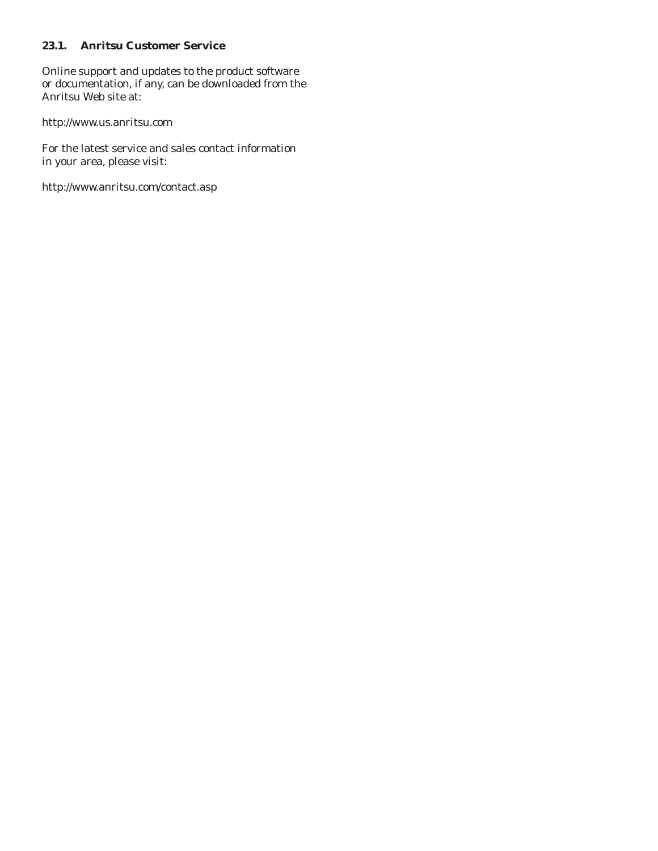## <span id="page-25-0"></span>**23.1. Anritsu Customer Service**

Online support and updates to the product software or documentation, if any, can be downloaded from the Anritsu Web site at:

http://www.us.anritsu.com

For the latest service and sales contact information in your area, please visit:

http://www.anritsu.com/contact.asp